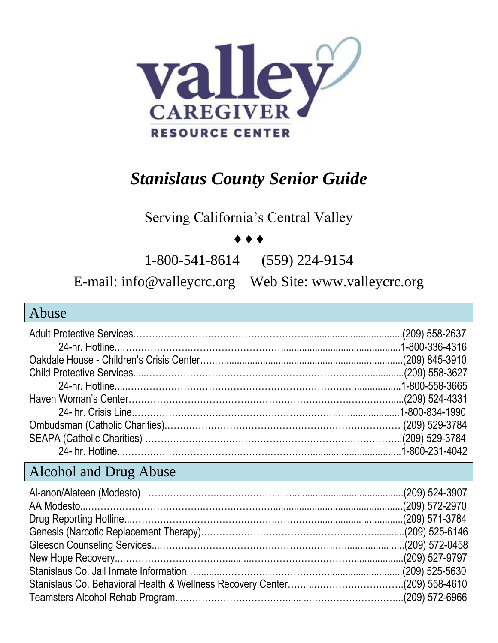

# *Stanislaus County Senior Guide*

Serving California's Central Valley

#### ♦ ♦ ♦

1-800-541-8614 (559) 224-9154

E-mail: info@valleycrc.org Web Site: www.valleycrc.org

#### Abuse Adult Protective Services…………………….…………………………......................................(209) 558-2637 24-hr. Hotline...………………….………………………….............................................1-800-336-4316 Oakdale House - Children's Crisis Center…..….....................................................................(209) 845-3910 Child Protective Services.....……………………………………………………………….............(209) 558-3627 24-hr. Hotline.....……………………………………………………………… ..................1-800-558-3665 Haven Woman's Center…………………………………………………….……….……….…......(209) 524-4331 24- hr. Crisis Line.……………………………………….……….……….…....................1-800-834-1990 Ombudsman (Catholic Charities).………………………………………………………………… (209) 529-3784 SEAPA (Catholic Charities) ………………………………………………………………………..(209) 529-3784 24- hr. Hotline...……………………………….……….……….…...................................1-800-231-4042

#### Alcohol and Drug Abuse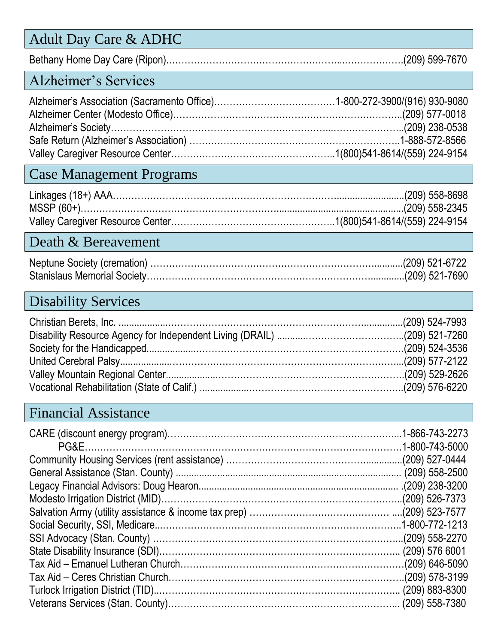### Adult Day Care & ADHC

Bethany Home Day Care (Ripon).………………………………………………...……………….(209) 599-7670

#### Alzheimer's Services

#### Case Management Programs

#### Death & Bereavement

#### Disability Services

#### Financial Assistance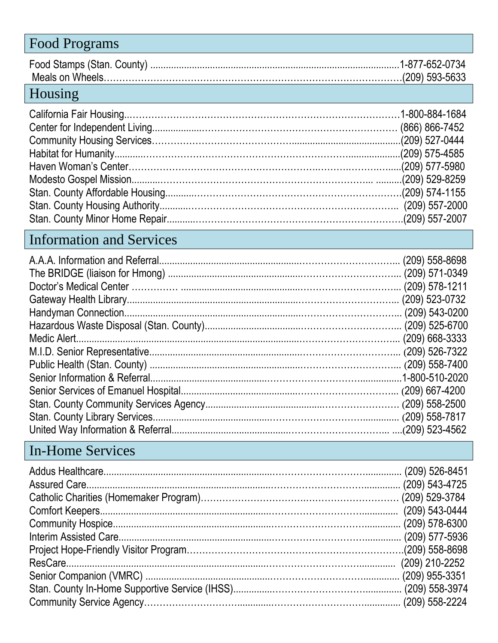#### Food Programs Food Stamps (Stan. County) ................................................................................................1-877-652-0734 Meals on Wheels……………………………………………………………………………………(209) 593-5633 Housing

### Information and Services

## In-Home Services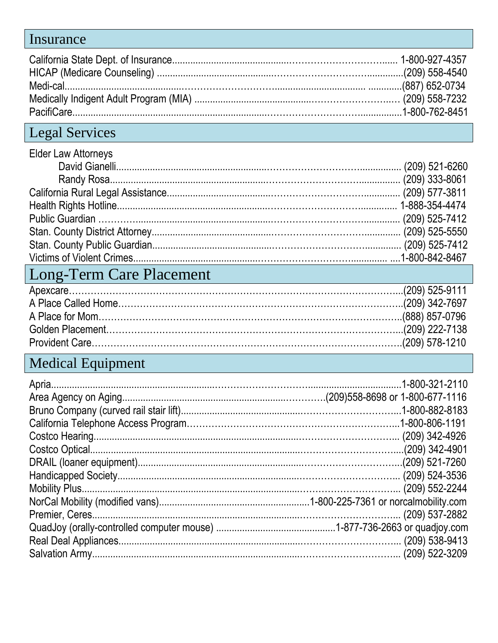### Insurance

# Legal Services

| <b>Elder Law Attorneys</b> |  |
|----------------------------|--|
|                            |  |
|                            |  |
|                            |  |
|                            |  |
|                            |  |
|                            |  |
|                            |  |
|                            |  |

# Long-Term Care Placement

# Medical Equipment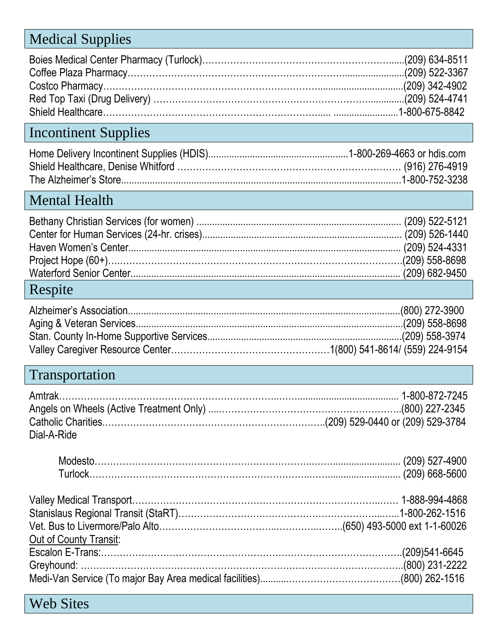## Medical Supplies

# Incontinent Supplies

# Mental Health

## Respite

# Transportation

| Dial-A-Ride |  |
|-------------|--|

| Out of County Transit:       |  |
|------------------------------|--|
|                              |  |
| 800) 231-2222 (800) 231-2222 |  |
|                              |  |

Web Sites